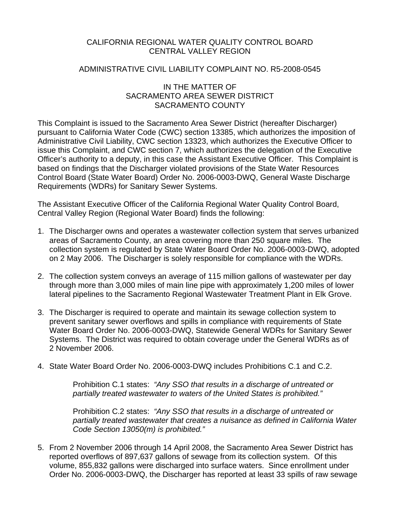## CALIFORNIA REGIONAL WATER QUALITY CONTROL BOARD CENTRAL VALLEY REGION

#### ADMINISTRATIVE CIVIL LIABILITY COMPLAINT NO. R5-2008-0545

#### IN THE MATTER OF SACRAMENTO AREA SEWER DISTRICT SACRAMENTO COUNTY

This Complaint is issued to the Sacramento Area Sewer District (hereafter Discharger) pursuant to California Water Code (CWC) section 13385, which authorizes the imposition of Administrative Civil Liability, CWC section 13323, which authorizes the Executive Officer to issue this Complaint, and CWC section 7, which authorizes the delegation of the Executive Officer's authority to a deputy, in this case the Assistant Executive Officer. This Complaint is based on findings that the Discharger violated provisions of the State Water Resources Control Board (State Water Board) Order No. 2006-0003-DWQ, General Waste Discharge Requirements (WDRs) for Sanitary Sewer Systems.

The Assistant Executive Officer of the California Regional Water Quality Control Board, Central Valley Region (Regional Water Board) finds the following:

- 1. The Discharger owns and operates a wastewater collection system that serves urbanized areas of Sacramento County, an area covering more than 250 square miles. The collection system is regulated by State Water Board Order No. 2006-0003-DWQ, adopted on 2 May 2006. The Discharger is solely responsible for compliance with the WDRs.
- 2. The collection system conveys an average of 115 million gallons of wastewater per day through more than 3,000 miles of main line pipe with approximately 1,200 miles of lower lateral pipelines to the Sacramento Regional Wastewater Treatment Plant in Elk Grove.
- 3. The Discharger is required to operate and maintain its sewage collection system to prevent sanitary sewer overflows and spills in compliance with requirements of State Water Board Order No. 2006-0003-DWQ, Statewide General WDRs for Sanitary Sewer Systems. The District was required to obtain coverage under the General WDRs as of 2 November 2006.
- 4. State Water Board Order No. 2006-0003-DWQ includes Prohibitions C.1 and C.2.

Prohibition C.1 states: *"Any SSO that results in a discharge of untreated or partially treated wastewater to waters of the United States is prohibited."* 

Prohibition C.2 states: *"Any SSO that results in a discharge of untreated or partially treated wastewater that creates a nuisance as defined in California Water Code Section 13050(m) is prohibited."*

5. From 2 November 2006 through 14 April 2008, the Sacramento Area Sewer District has reported overflows of 897,637 gallons of sewage from its collection system. Of this volume, 855,832 gallons were discharged into surface waters. Since enrollment under Order No. 2006-0003-DWQ, the Discharger has reported at least 33 spills of raw sewage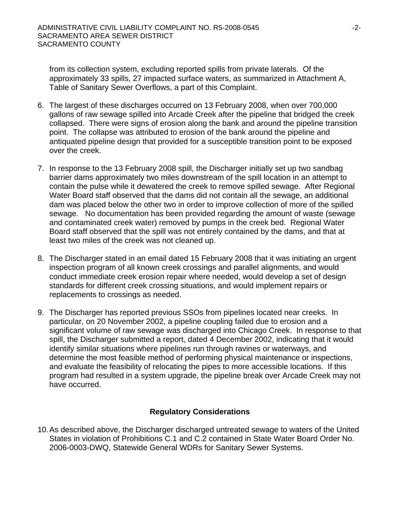from its collection system, excluding reported spills from private laterals. Of the approximately 33 spills, 27 impacted surface waters, as summarized in Attachment A, Table of Sanitary Sewer Overflows, a part of this Complaint.

- 6. The largest of these discharges occurred on 13 February 2008, when over 700,000 gallons of raw sewage spilled into Arcade Creek after the pipeline that bridged the creek collapsed. There were signs of erosion along the bank and around the pipeline transition point. The collapse was attributed to erosion of the bank around the pipeline and antiquated pipeline design that provided for a susceptible transition point to be exposed over the creek.
- 7. In response to the 13 February 2008 spill, the Discharger initially set up two sandbag barrier dams approximately two miles downstream of the spill location in an attempt to contain the pulse while it dewatered the creek to remove spilled sewage. After Regional Water Board staff observed that the dams did not contain all the sewage, an additional dam was placed below the other two in order to improve collection of more of the spilled sewage. No documentation has been provided regarding the amount of waste (sewage and contaminated creek water) removed by pumps in the creek bed. Regional Water Board staff observed that the spill was not entirely contained by the dams, and that at least two miles of the creek was not cleaned up.
- 8. The Discharger stated in an email dated 15 February 2008 that it was initiating an urgent inspection program of all known creek crossings and parallel alignments, and would conduct immediate creek erosion repair where needed, would develop a set of design standards for different creek crossing situations, and would implement repairs or replacements to crossings as needed.
- 9. The Discharger has reported previous SSOs from pipelines located near creeks. In particular, on 20 November 2002, a pipeline coupling failed due to erosion and a significant volume of raw sewage was discharged into Chicago Creek. In response to that spill, the Discharger submitted a report, dated 4 December 2002, indicating that it would identify similar situations where pipelines run through ravines or waterways, and determine the most feasible method of performing physical maintenance or inspections, and evaluate the feasibility of relocating the pipes to more accessible locations. If this program had resulted in a system upgrade, the pipeline break over Arcade Creek may not have occurred.

## **Regulatory Considerations**

10. As described above, the Discharger discharged untreated sewage to waters of the United States in violation of Prohibitions C.1 and C.2 contained in State Water Board Order No. 2006-0003-DWQ, Statewide General WDRs for Sanitary Sewer Systems.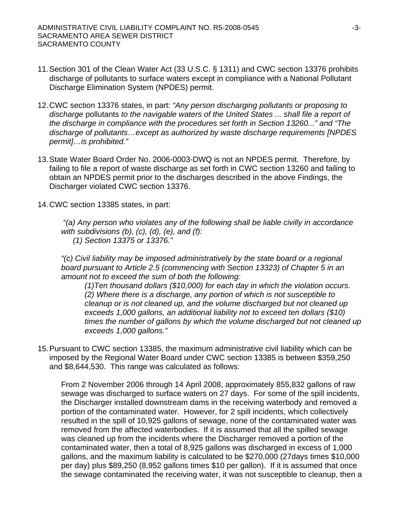- 11. Section 301 of the Clean Water Act (33 U.S.C. § 1311) and CWC section 13376 prohibits discharge of pollutants to surface waters except in compliance with a National Pollutant Discharge Elimination System (NPDES) permit.
- 12. CWC section 13376 states, in part: *"Any person discharging pollutants or proposing to discharge* pollutants *to the navigable waters of the United States ... shall file a report of the discharge in compliance with the procedures set forth in Section 13260..." and "The discharge of pollutants…except as authorized by waste discharge requirements [NPDES permit]…is prohibited."*
- 13. State Water Board Order No. 2006-0003-DWQ is not an NPDES permit. Therefore, by failing to file a report of waste discharge as set forth in CWC section 13260 and failing to obtain an NPDES permit prior to the discharges described in the above Findings, the Discharger violated CWC section 13376.
- 14. CWC section 13385 states, in part:

*"(a) Any person who violates any of the following shall be liable civilly in accordance with subdivisions (b), (c), (d), (e), and (f): (1) Section 13375 or 13376."* 

*"(c) Civil liability may be imposed administratively by the state board or a regional board pursuant to Article 2.5 (commencing with Section 13323) of Chapter 5 in an amount not to exceed the sum of both the following:* 

*(1)Ten thousand dollars (\$10,000) for each day in which the violation occurs. (2) Where there is a discharge, any portion of which is not susceptible to cleanup or is not cleaned up, and the volume discharged but not cleaned up exceeds 1,000 gallons, an additional liability not to exceed ten dollars (\$10) times the number of gallons by which the volume discharged but not cleaned up exceeds 1,000 gallons."*

15. Pursuant to CWC section 13385, the maximum administrative civil liability which can be imposed by the Regional Water Board under CWC section 13385 is between \$359,250 and \$8,644,530. This range was calculated as follows:

From 2 November 2006 through 14 April 2008, approximately 855,832 gallons of raw sewage was discharged to surface waters on 27 days. For some of the spill incidents, the Discharger installed downstream dams in the receiving waterbody and removed a portion of the contaminated water. However, for 2 spill incidents, which collectively resulted in the spill of 10,925 gallons of sewage, none of the contaminated water was removed from the affected waterbodies. If it is assumed that all the spilled sewage was cleaned up from the incidents where the Discharger removed a portion of the contaminated water, then a total of 8,925 gallons was discharged in excess of 1,000 gallons, and the maximum liability is calculated to be \$270,000 (27days times \$10,000 per day) plus \$89,250 (8,952 gallons times \$10 per gallon). If it is assumed that once the sewage contaminated the receiving water, it was not susceptible to cleanup, then a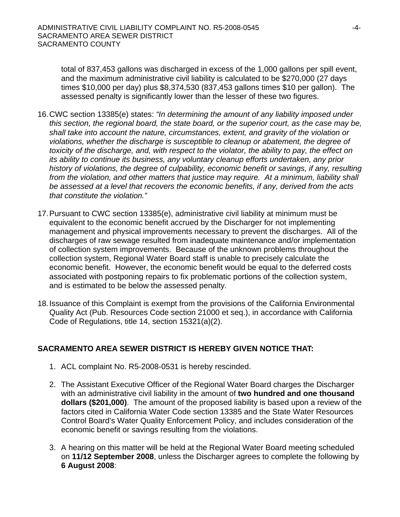total of 837,453 gallons was discharged in excess of the 1,000 gallons per spill event, and the maximum administrative civil liability is calculated to be \$270,000 (27 days times \$10,000 per day) plus \$8,374,530 (837,453 gallons times \$10 per gallon). The assessed penalty is significantly lower than the lesser of these two figures.

- 16. CWC section 13385(e) states: *"In determining the amount of any liability imposed under this section, the regional board, the state board, or the superior court, as the case may be, shall take into account the nature, circumstances, extent, and gravity of the violation or violations, whether the discharge is susceptible to cleanup or abatement, the degree of toxicity of the discharge, and, with respect to the violator, the ability to pay, the effect on its ability to continue its business, any voluntary cleanup efforts undertaken, any prior history of violations, the degree of culpability, economic benefit or savings, if any, resulting from the violation, and other matters that justice may require. At a minimum, liability shall be assessed at a level that recovers the economic benefits, if any, derived from the acts that constitute the violation."*
- 17. Pursuant to CWC section 13385(e), administrative civil liability at minimum must be equivalent to the economic benefit accrued by the Discharger for not implementing management and physical improvements necessary to prevent the discharges. All of the discharges of raw sewage resulted from inadequate maintenance and/or implementation of collection system improvements. Because of the unknown problems throughout the collection system, Regional Water Board staff is unable to precisely calculate the economic benefit. However, the economic benefit would be equal to the deferred costs associated with postponing repairs to fix problematic portions of the collection system, and is estimated to be below the assessed penalty.
- 18. Issuance of this Complaint is exempt from the provisions of the California Environmental Quality Act (Pub. Resources Code section 21000 et seq.), in accordance with California Code of Regulations, title 14, section 15321(a)(2).

## **SACRAMENTO AREA SEWER DISTRICT IS HEREBY GIVEN NOTICE THAT:**

- 1. ACL complaint No. R5-2008-0531 is hereby rescinded.
- 2. The Assistant Executive Officer of the Regional Water Board charges the Discharger with an administrative civil liability in the amount of **two hundred and one thousand dollars (\$201,000)**. The amount of the proposed liability is based upon a review of the factors cited in California Water Code section 13385 and the State Water Resources Control Board's Water Quality Enforcement Policy, and includes consideration of the economic benefit or savings resulting from the violations.
- 3. A hearing on this matter will be held at the Regional Water Board meeting scheduled on **11/12 September 2008**, unless the Discharger agrees to complete the following by **6 August 2008**: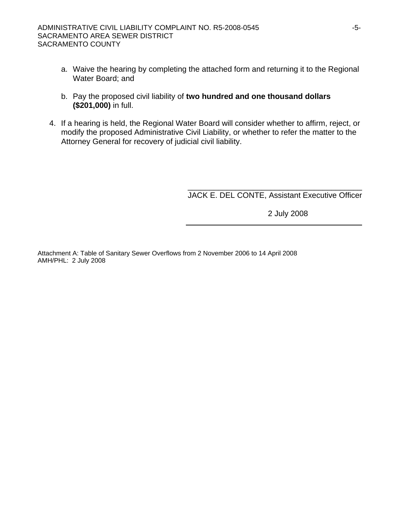- a. Waive the hearing by completing the attached form and returning it to the Regional Water Board; and
- b. Pay the proposed civil liability of **two hundred and one thousand dollars (\$201,000)** in full.
- 4. If a hearing is held, the Regional Water Board will consider whether to affirm, reject, or modify the proposed Administrative Civil Liability, or whether to refer the matter to the Attorney General for recovery of judicial civil liability.

\_\_\_\_\_\_\_\_\_\_\_\_\_\_\_\_\_\_\_\_\_\_\_\_\_\_\_\_\_\_\_\_\_\_\_\_\_\_\_\_ JACK E. DEL CONTE, Assistant Executive Officer

2 July 2008

Attachment A: Table of Sanitary Sewer Overflows from 2 November 2006 to 14 April 2008 AMH/PHL: 2 July 2008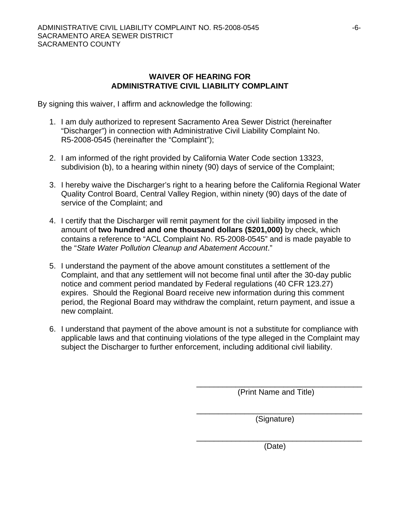#### **WAIVER OF HEARING FOR ADMINISTRATIVE CIVIL LIABILITY COMPLAINT**

By signing this waiver, I affirm and acknowledge the following:

- 1. I am duly authorized to represent Sacramento Area Sewer District (hereinafter "Discharger") in connection with Administrative Civil Liability Complaint No. R5-2008-0545 (hereinafter the "Complaint");
- 2. I am informed of the right provided by California Water Code section 13323, subdivision (b), to a hearing within ninety (90) days of service of the Complaint;
- 3. I hereby waive the Discharger's right to a hearing before the California Regional Water Quality Control Board, Central Valley Region, within ninety (90) days of the date of service of the Complaint; and
- 4. I certify that the Discharger will remit payment for the civil liability imposed in the amount of **two hundred and one thousand dollars (\$201,000)** by check, which contains a reference to "ACL Complaint No. R5-2008-0545" and is made payable to the "*State Water Pollution Cleanup and Abatement Account*."
- 5. I understand the payment of the above amount constitutes a settlement of the Complaint, and that any settlement will not become final until after the 30-day public notice and comment period mandated by Federal regulations (40 CFR 123.27) expires. Should the Regional Board receive new information during this comment period, the Regional Board may withdraw the complaint, return payment, and issue a new complaint.
- 6. I understand that payment of the above amount is not a substitute for compliance with applicable laws and that continuing violations of the type alleged in the Complaint may subject the Discharger to further enforcement, including additional civil liability.

 $\frac{1}{\sqrt{2\pi}}$  ,  $\frac{1}{\sqrt{2\pi}}$  ,  $\frac{1}{\sqrt{2\pi}}$  ,  $\frac{1}{\sqrt{2\pi}}$  ,  $\frac{1}{\sqrt{2\pi}}$  ,  $\frac{1}{\sqrt{2\pi}}$  ,  $\frac{1}{\sqrt{2\pi}}$  ,  $\frac{1}{\sqrt{2\pi}}$  ,  $\frac{1}{\sqrt{2\pi}}$  ,  $\frac{1}{\sqrt{2\pi}}$  ,  $\frac{1}{\sqrt{2\pi}}$  ,  $\frac{1}{\sqrt{2\pi}}$  ,  $\frac{1}{\sqrt{2\pi}}$  ,

 $\overline{\phantom{a}}$  , which is a set of the set of the set of the set of the set of the set of the set of the set of the set of the set of the set of the set of the set of the set of the set of the set of the set of the set of th

 $\frac{1}{\sqrt{2\pi}}$  , which is the contract of the contract of the contract of the contract of the contract of the contract of the contract of the contract of the contract of the contract of the contract of the contract of the (Print Name and Title)

(Signature)

(Date)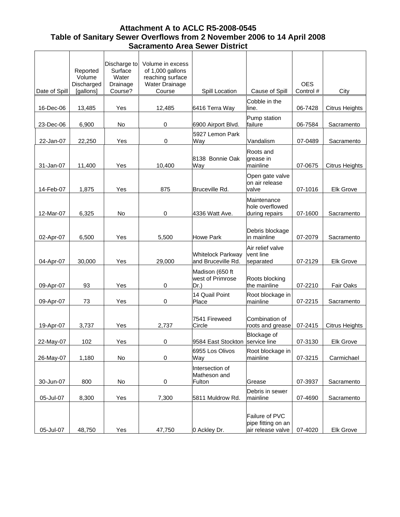# **Attachment A to ACLC R5-2008-0545 Table of Sanitary Sewer Overflows from 2 November 2006 to 14 April 2008 Sacramento Area Sewer District**

|               | Reported<br>Volume<br>Discharged | Discharge to<br>Surface<br>Water<br>Drainage | Volume in excess<br>of 1,000 gallons<br>reaching surface<br><b>Water Drainage</b> |                                                    |                                                  | <b>OES</b> |                       |
|---------------|----------------------------------|----------------------------------------------|-----------------------------------------------------------------------------------|----------------------------------------------------|--------------------------------------------------|------------|-----------------------|
| Date of Spill | [gallons]                        | Course?                                      | Course                                                                            | Spill Location                                     | Cause of Spill<br>Cobble in the                  | Control #  | City                  |
| 16-Dec-06     | 13,485                           | Yes                                          | 12,485                                                                            | 6416 Terra Way                                     | line.                                            | 06-7428    | <b>Citrus Heights</b> |
| 23-Dec-06     | 6,900                            | No                                           | $\,0\,$                                                                           | 6900 Airport Blvd.                                 | Pump station<br>failure                          | 06-7584    | Sacramento            |
| 22-Jan-07     | 22,250                           | Yes                                          | 0                                                                                 | 5927 Lemon Park<br>Way                             | Vandalism                                        | 07-0489    | Sacramento            |
| 31-Jan-07     | 11,400                           | Yes                                          | 10,400                                                                            | 8138 Bonnie Oak<br>Way                             | Roots and<br>grease in<br>mainline               | 07-0675    | <b>Citrus Heights</b> |
| 14-Feb-07     | 1,875                            | Yes                                          | 875                                                                               | Bruceville Rd.                                     | Open gate valve<br>on air release<br>valve       | 07-1016    | Elk Grove             |
| 12-Mar-07     | 6,325                            | No                                           | 0                                                                                 | 4336 Watt Ave.                                     | Maintenance<br>hole overflowed<br>during repairs | 07-1600    | Sacramento            |
| 02-Apr-07     | 6,500                            | Yes                                          | 5,500                                                                             | <b>Howe Park</b>                                   | Debris blockage<br>in mainline                   | 07-2079    | Sacramento            |
| 04-Apr-07     | 30,000                           | Yes                                          | 29,000                                                                            | <b>Whitelock Parkway</b><br>and Bruceville Rd.     | Air relief valve<br>vent line<br>separated       | 07-2129    | <b>Elk Grove</b>      |
| 09-Apr-07     | 93                               | Yes                                          | 0                                                                                 | Madison (650 ft<br>west of Primrose<br>Dr.)        | Roots blocking<br>the mainline                   | 07-2210    | <b>Fair Oaks</b>      |
| 09-Apr-07     | 73                               | Yes                                          | 0                                                                                 | 14 Quail Point<br>Place                            | Root blockage in<br>mainline                     | 07-2215    | Sacramento            |
| 19-Apr-07     | 3,737                            | Yes                                          | 2,737                                                                             | 7541 Fireweed<br>Circle                            | Combination of<br>roots and grease               | 07-2415    | <b>Citrus Heights</b> |
|               |                                  |                                              |                                                                                   |                                                    | <b>Blockage of</b>                               |            |                       |
| 22-May-07     | 102                              | Yes                                          | 0                                                                                 | 9584 East Stockton service line<br>6955 Los Olivos | Root blockage in                                 | 07-3130    | <b>Elk Grove</b>      |
| 26-May-07     | 1,180                            | No                                           | $\pmb{0}$                                                                         | Way                                                | mainline                                         | 07-3215    | Carmichael            |
|               |                                  |                                              |                                                                                   | Intersection of<br>Matheson and                    |                                                  |            |                       |
| 30-Jun-07     | 800                              | No                                           | 0                                                                                 | Fulton                                             | Grease<br>Debris in sewer                        | 07-3937    | Sacramento            |
| 05-Jul-07     | 8,300                            | Yes                                          | 7,300                                                                             | 5811 Muldrow Rd.                                   | mainline                                         | 07-4690    | Sacramento            |
|               |                                  |                                              |                                                                                   |                                                    | Failure of PVC<br>pipe fitting on an             |            |                       |
| 05-Jul-07     | 48,750                           | Yes                                          | 47,750                                                                            | 0 Ackley Dr.                                       | air release valve                                | 07-4020    | <b>Elk Grove</b>      |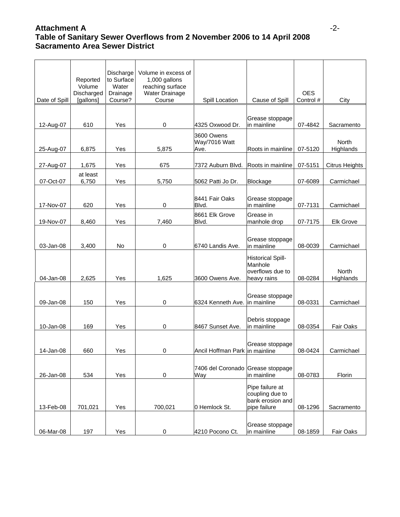# **Attachment A** -2- **Table of Sanitary Sewer Overflows from 2 November 2006 to 14 April 2008 Sacramento Area Sewer District**

|               | Reported<br>Volume<br>Discharged | Discharge<br>to Surface<br>Water<br>Drainage<br>Course? | Volume in excess of<br>1,000 gallons<br>reaching surface<br>Water Drainage<br>Course |                                          |                                                                        | <b>OES</b> | City                  |
|---------------|----------------------------------|---------------------------------------------------------|--------------------------------------------------------------------------------------|------------------------------------------|------------------------------------------------------------------------|------------|-----------------------|
| Date of Spill | [gallons]                        |                                                         |                                                                                      | Spill Location                           | Cause of Spill                                                         | Control #  |                       |
| 12-Aug-07     | 610                              | Yes                                                     | 0                                                                                    | 4325 Oxwood Dr.                          | Grease stoppage<br>lin mainline                                        | 07-4842    | Sacramento            |
| 25-Aug-07     | 6,875                            | Yes                                                     | 5,875                                                                                | 3600 Owens<br>Way/7016 Watt<br>Ave.      | Roots in mainline                                                      | 07-5120    | North<br>Highlands    |
|               |                                  |                                                         |                                                                                      |                                          |                                                                        |            |                       |
| 27-Aug-07     | 1,675                            | Yes                                                     | 675                                                                                  | 7372 Auburn Blvd.                        | Roots in mainline                                                      | 07-5151    | <b>Citrus Heights</b> |
| 07-Oct-07     | at least<br>6,750                | Yes                                                     | 5,750                                                                                | 5062 Patti Jo Dr.                        | Blockage                                                               | 07-6089    | Carmichael            |
| 17-Nov-07     | 620                              | Yes                                                     | 0                                                                                    | 8441 Fair Oaks<br>Blvd.                  | Grease stoppage<br>in mainline                                         | 07-7131    | Carmichael            |
| 19-Nov-07     | 8,460                            | Yes                                                     | 7,460                                                                                | 8661 Elk Grove<br>Blvd.                  | Grease in<br>manhole drop                                              | 07-7175    | Elk Grove             |
| 03-Jan-08     | 3,400                            | No                                                      | 0                                                                                    | 6740 Landis Ave.                         | Grease stoppage<br>in mainline                                         | 08-0039    | Carmichael            |
| 04-Jan-08     | 2,625                            | Yes                                                     | 1,625                                                                                | 3600 Owens Ave.                          | <b>Historical Spill-</b><br>Manhole<br>overflows due to<br>heavy rains | 08-0284    | North<br>Highlands    |
| 09-Jan-08     | 150                              | Yes                                                     | 0                                                                                    | 6324 Kenneth Ave. in mainline            | Grease stoppage                                                        | 08-0331    | Carmichael            |
| 10-Jan-08     | 169                              | Yes                                                     | $\pmb{0}$                                                                            | 8467 Sunset Ave.                         | Debris stoppage<br>in mainline                                         | 08-0354    | Fair Oaks             |
| 14-Jan-08     | 660                              | Yes                                                     | 0                                                                                    | Ancil Hoffman Park in mainline           | Grease stoppage                                                        | 08-0424    | Carmichael            |
| 26-Jan-08     | 534                              | Yes                                                     | 0                                                                                    | 7406 del Coronado Grease stoppage<br>Way | in mainline                                                            | 08-0783    | Florin                |
| 13-Feb-08     | 701,021                          | Yes                                                     | 700,021                                                                              | 0 Hemlock St.                            | Pipe failure at<br>coupling due to<br>bank erosion and<br>pipe failure | 08-1296    | Sacramento            |
| 06-Mar-08     | 197                              | Yes                                                     | $\pmb{0}$                                                                            | 4210 Pocono Ct.                          | Grease stoppage<br>in mainline                                         | 08-1859    | Fair Oaks             |